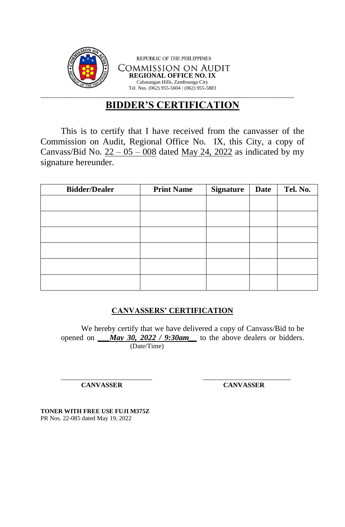

## **BIDDER'S CERTIFICATION**

This is to certify that I have received from the canvasser of the Commission on Audit, Regional Office No. IX, this City, a copy of Canvass/Bid No.  $22 - 05 - 008$  dated May 24, 2022 as indicated by my signature hereunder.

| <b>Bidder/Dealer</b> | <b>Print Name</b> | <b>Signature</b> | <b>Date</b> | Tel. No. |
|----------------------|-------------------|------------------|-------------|----------|
|                      |                   |                  |             |          |
|                      |                   |                  |             |          |
|                      |                   |                  |             |          |
|                      |                   |                  |             |          |
|                      |                   |                  |             |          |
|                      |                   |                  |             |          |

## **CANVASSERS' CERTIFICATION**

We hereby certify that we have delivered a copy of Canvass/Bid to be opened on *\_\_\_May 30, 2022 / 9:30am\_\_* to the above dealers or bidders. (Date/Time)

\_\_\_\_\_\_\_\_\_\_\_\_\_\_\_\_\_\_\_\_\_\_\_\_\_\_\_ \_\_\_\_\_\_\_\_\_\_\_\_\_\_\_\_\_\_\_\_\_\_\_\_\_\_

**CANVASSER CANVASSER**

**TONER WITH FREE USE FUJI M375Z** PR Nos. 22-085 dated May 19, 2022